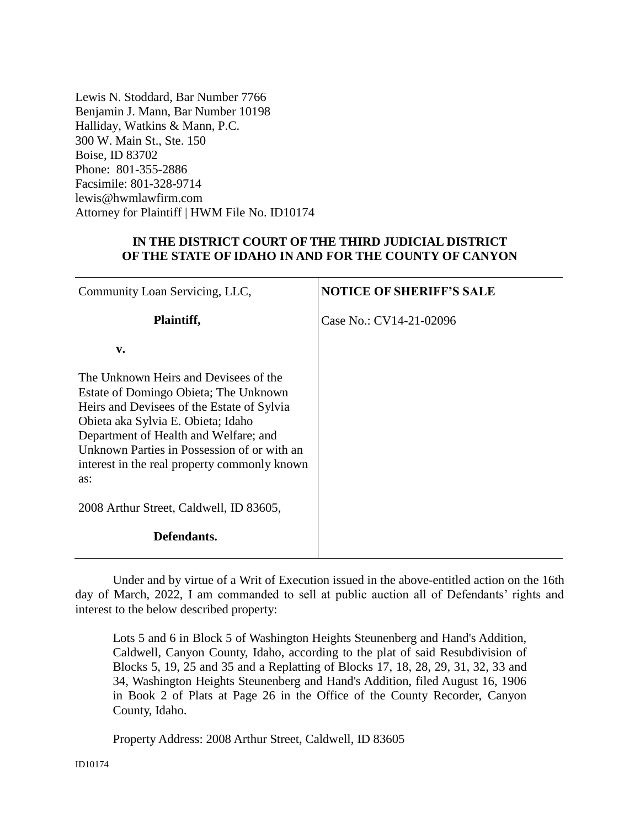Lewis N. Stoddard, Bar Number 7766 Benjamin J. Mann, Bar Number 10198 Halliday, Watkins & Mann, P.C. 300 W. Main St., Ste. 150 Boise, ID 83702 Phone: 801-355-2886 Facsimile: 801-328-9714 lewis@hwmlawfirm.com Attorney for Plaintiff | HWM File No. ID10174

## **IN THE DISTRICT COURT OF THE THIRD JUDICIAL DISTRICT OF THE STATE OF IDAHO IN AND FOR THE COUNTY OF CANYON**

| Community Loan Servicing, LLC,                                                                                                                                                                                                                                                                                    | <b>NOTICE OF SHERIFF'S SALE</b> |
|-------------------------------------------------------------------------------------------------------------------------------------------------------------------------------------------------------------------------------------------------------------------------------------------------------------------|---------------------------------|
| Plaintiff,                                                                                                                                                                                                                                                                                                        | Case No.: CV14-21-02096         |
| $\mathbf{v}$ .                                                                                                                                                                                                                                                                                                    |                                 |
| The Unknown Heirs and Devisees of the<br>Estate of Domingo Obieta; The Unknown<br>Heirs and Devisees of the Estate of Sylvia<br>Obieta aka Sylvia E. Obieta; Idaho<br>Department of Health and Welfare; and<br>Unknown Parties in Possession of or with an<br>interest in the real property commonly known<br>as: |                                 |
| 2008 Arthur Street, Caldwell, ID 83605,                                                                                                                                                                                                                                                                           |                                 |
| Defendants.                                                                                                                                                                                                                                                                                                       |                                 |

Under and by virtue of a Writ of Execution issued in the above-entitled action on the 16th day of March, 2022, I am commanded to sell at public auction all of Defendants' rights and interest to the below described property:

Lots 5 and 6 in Block 5 of Washington Heights Steunenberg and Hand's Addition, Caldwell, Canyon County, Idaho, according to the plat of said Resubdivision of Blocks 5, 19, 25 and 35 and a Replatting of Blocks 17, 18, 28, 29, 31, 32, 33 and 34, Washington Heights Steunenberg and Hand's Addition, filed August 16, 1906 in Book 2 of Plats at Page 26 in the Office of the County Recorder, Canyon County, Idaho.

Property Address: 2008 Arthur Street, Caldwell, ID 83605